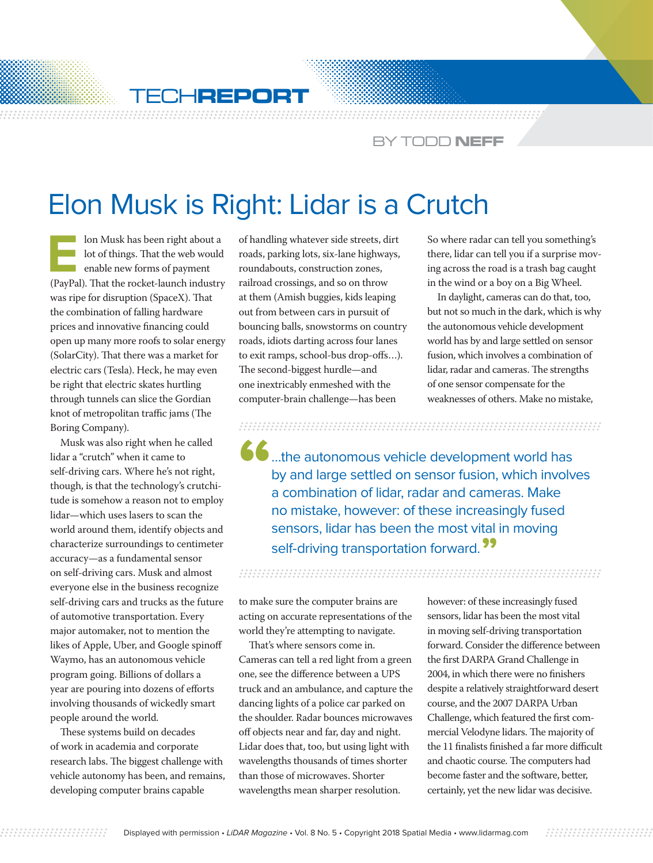

CHREPORT WES<del>ings and an</del>

## BY TODD **NEFF**

## Elon Musk is Right: Lidar is a Crutch

**Elon Musk has been right about a**<br>**Elon Musk has been right about a**<br>**Elon Musk has De State Hanner**<br>**Elon Musk has been right about the rocket-launch industry** lot of things. That the web would enable new forms of payment (PayPal). That the rocket-launch industry was ripe for disruption (SpaceX). That the combination of falling hardware prices and innovative financing could open up many more roofs to solar energy (SolarCity). That there was a market for electric cars (Tesla). Heck, he may even be right that electric skates hurtling through tunnels can slice the Gordian knot of metropolitan traffic jams (The Boring Company).

Musk was also right when he called lidar a "crutch" when it came to self-driving cars. Where he's not right, though, is that the technology's crutchitude is somehow a reason not to employ lidar—which uses lasers to scan the world around them, identify objects and characterize surroundings to centimeter accuracy—as a fundamental sensor on self-driving cars. Musk and almost everyone else in the business recognize self-driving cars and trucks as the future of automotive transportation. Every major automaker, not to mention the likes of Apple, Uber, and Google spinoff Waymo, has an autonomous vehicle program going. Billions of dollars a year are pouring into dozens of efforts involving thousands of wickedly smart people around the world.

These systems build on decades of work in academia and corporate research labs. The biggest challenge with vehicle autonomy has been, and remains, developing computer brains capable

of handling whatever side streets, dirt roads, parking lots, six-lane highways, roundabouts, construction zones, railroad crossings, and so on throw at them (Amish buggies, kids leaping out from between cars in pursuit of bouncing balls, snowstorms on country roads, idiots darting across four lanes to exit ramps, school-bus drop-offs…). The second-biggest hurdle—and one inextricably enmeshed with the computer-brain challenge—has been

So where radar can tell you something's there, lidar can tell you if a surprise moving across the road is a trash bag caught in the wind or a boy on a Big Wheel.

In daylight, cameras can do that, too, but not so much in the dark, which is why the autonomous vehicle development world has by and large settled on sensor fusion, which involves a combination of lidar, radar and cameras. The strengths of one sensor compensate for the weaknesses of others. Make no mistake,

 $\bullet$  ...the autonomous vehicle development world has by and large settled on sensor fusion, which involves a combination of lidar, radar and cameras. Make no mistake, however: of these increasingly fused sensors, lidar has been the most vital in moving self-driving transportation forward."

to make sure the computer brains are acting on accurate representations of the world they're attempting to navigate.

That's where sensors come in. Cameras can tell a red light from a green one, see the difference between a UPS truck and an ambulance, and capture the dancing lights of a police car parked on the shoulder. Radar bounces microwaves off objects near and far, day and night. Lidar does that, too, but using light with wavelengths thousands of times shorter than those of microwaves. Shorter wavelengths mean sharper resolution.

however: of these increasingly fused sensors, lidar has been the most vital in moving self-driving transportation forward. Consider the difference between the first DARPA Grand Challenge in 2004, in which there were no finishers despite a relatively straightforward desert course, and the 2007 DARPA Urban Challenge, which featured the first commercial Velodyne lidars. The majority of the 11 finalists finished a far more difficult and chaotic course. The computers had become faster and the software, better, certainly, yet the new lidar was decisive.